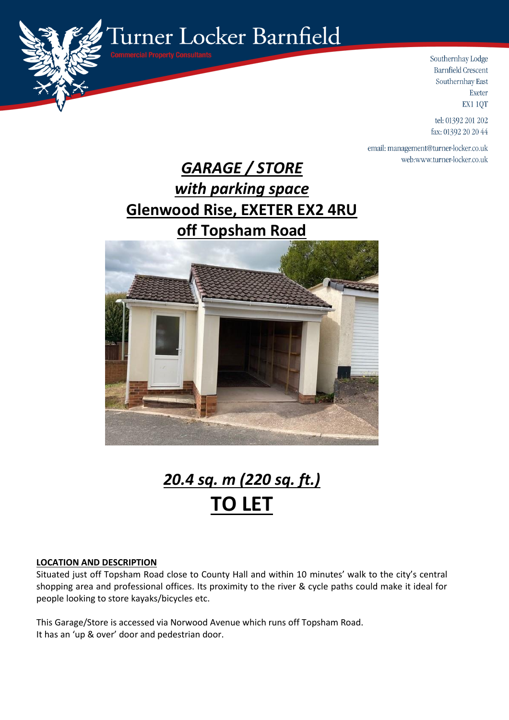

Southernhay Lodge **Barnfield Crescent** Southernhay East Exeter EX1 1QT

tel: 01392 201 202 fax: 01392 20 20 44

email: management@turner-locker.co.uk web:www.turner-locker.co.uk

## *GARAGE / STORE with parking space* **Glenwood Rise, EXETER EX2 4RU off Topsham Road**



# *20.4 sq. m (220 sq. ft.)* **TO LET**

#### **LOCATION AND DESCRIPTION**

Situated just off Topsham Road close to County Hall and within 10 minutes' walk to the city's central shopping area and professional offices. Its proximity to the river & cycle paths could make it ideal for people looking to store kayaks/bicycles etc.

This Garage/Store is accessed via Norwood Avenue which runs off Topsham Road. It has an 'up & over' door and pedestrian door.